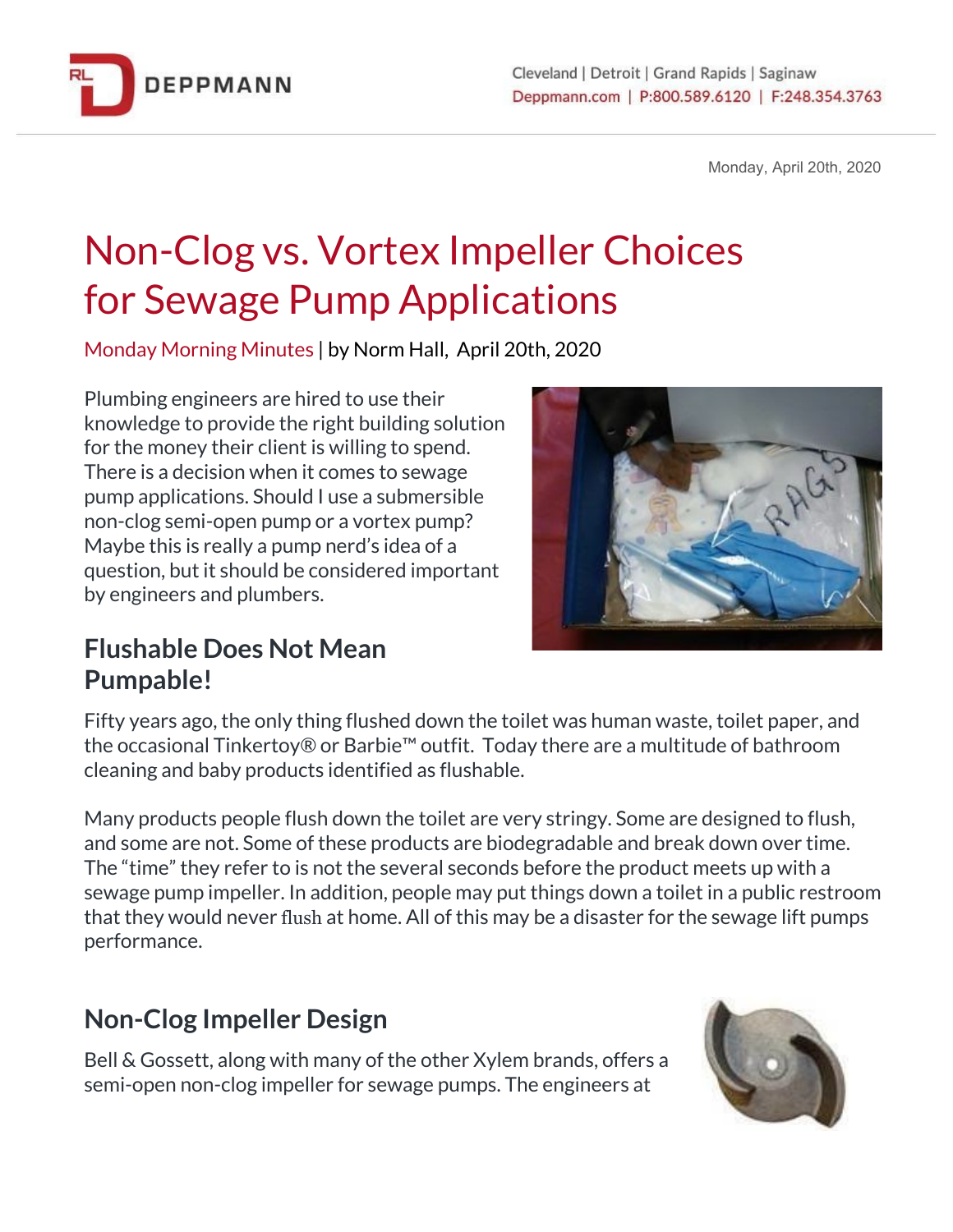

Monday, April 20th, 2020

# Non-Clog vs. Vortex Impeller Choices for Sewage Pump Applications

Monday Morning Minutes | by Norm Hall, April 20th, 2020

Plumbing engineers are hired to use their knowledge to provide the right building solution for the money their client is willing to spend. There is a decision when it comes to sewage pump applications. Should I use a submersible non-clog semi-open pump or a vortex pump? Maybe this is really a pump nerd's idea of a question, but it should be considered important by engineers and plumbers.



#### **Flushable Does Not Mean Pumpable!**

Fifty years ago, the only thing flushed down the toilet was human waste, toilet paper, and the occasional Tinkertoy® or Barbie™ outfit. Today there are a multitude of bathroom cleaning and baby products identified as flushable.

Many products people flush down the toilet are very stringy. Some are designed to flush, and some are not. Some of these products are biodegradable and break down over time. The "time" they refer to is not the several seconds before the product meets up with a sewage pump impeller. In addition, people may put things down a toilet in a public restroom that they would never flush at home. All of this may be a disaster for the sewage lift pumps performance.

## **Non-Clog Impeller Design**

Bell & Gossett, along with many of the other Xylem brands, offers a semi-open non-clog impeller for sewage pumps. The engineers at

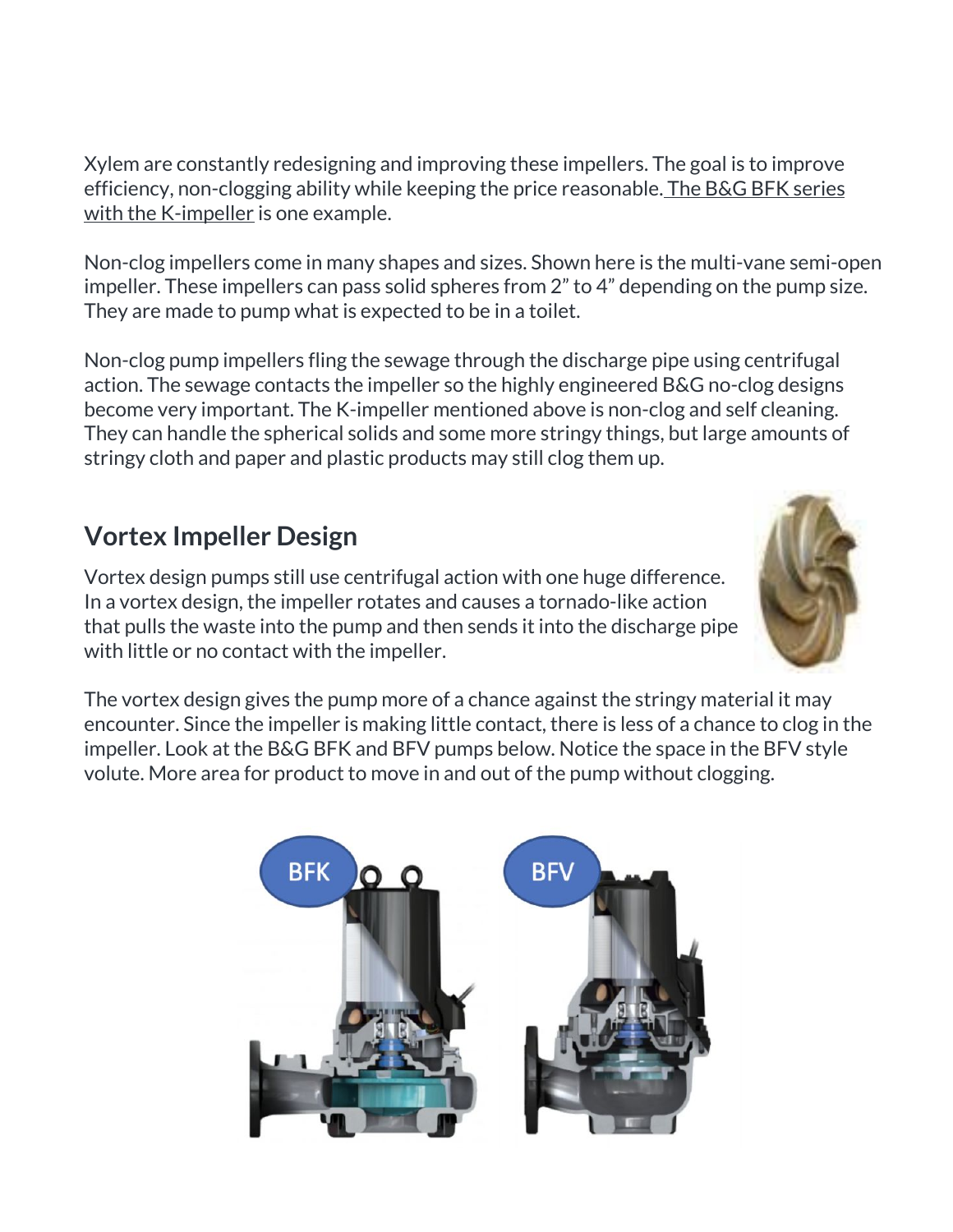Xylem are constantly redesigning and improving these impellers. The goal is to improve efficiency, non-clogging ability while keeping the price reasonable. The B&G BFK [series](https://bit.ly/2yTR0aK) with the [K-impeller](https://bit.ly/2yTR0aK) is one example.

Non-clog impellers come in many shapes and sizes. Shown here is the multi-vane semi-open impeller. These impellers can pass solid spheres from 2" to 4" depending on the pump size. They are made to pump what is expected to be in a toilet.

Non-clog pump impellers fling the sewage through the discharge pipe using centrifugal action. The sewage contacts the impeller so the highly engineered B&G no-clog designs become very important. The K-impeller mentioned above is non-clog and self cleaning. They can handle the spherical solids and some more stringy things, but large amounts of stringy cloth and paper and plastic products may still clog them up.

## **Vortex Impeller Design**

Vortex design pumps still use centrifugal action with one huge difference. In a vortex design, the impeller rotates and causes a tornado-like action that pulls the waste into the pump and then sends it into the discharge pipe with little or no contact with the impeller.



The vortex design gives the pump more of a chance against the stringy material it may encounter. Since the impeller is making little contact, there is less of a chance to clog in the impeller. Look at the B&G BFK and BFV pumps below. Notice the space in the BFV style volute. More area for product to move in and out of the pump without clogging.